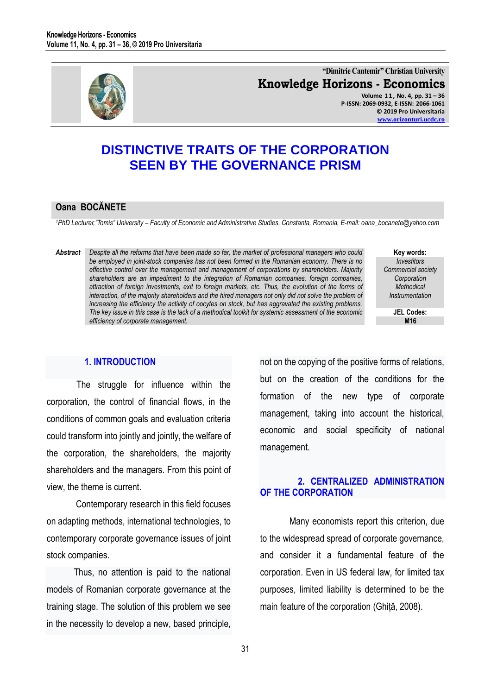

**"Dimitrie Cantemir" Christian University Knowledge Horizons - Economics Volume 1 1 , No. 4, pp. 31 – 36**

**P-ISSN: 2069-0932, E-ISSN: 2066-1061 © 2019 Pro Universitaria [www.orizonturi.ucdc.ro](http://www.orizonturi.ucdc.ro/)**

# **DISTINCTIVE TRAITS OF THE CORPORATION SEEN BY THE GOVERNANCE PRISM**

### **Oana BOCĂNETE**

*<sup>1</sup>PhD Lecturer,"Tomis" University – Faculty of Economic and Administrative Studies, Constanta, Romania, E-mail: oana\_bocanete@yahoo.com* 

*Abstract Despite all the reforms that have been made so far, the market of professional managers who could be employed in joint-stock companies has not been formed in the Romanian economy. There is no effective control over the management and management of corporations by shareholders. Majority shareholders are an impediment to the integration of Romanian companies, foreign companies, attraction of foreign investments, exit to foreign markets, etc. Thus, the evolution of the forms of interaction, of the majority shareholders and the hired managers not only did not solve the problem of increasing the efficiency the activity of oocytes on stock, but has aggravated the existing problems. The key issue in this case is the lack of a methodical toolkit for systemic assessment of the economic efficiency of corporate management.* 

**Key words:** *Investitors Commercial society Corporation Methodical Instrumentation*

> **JEL Codes: M16**

### **1. INTRODUCTION**

The struggle for influence within the corporation, the control of financial flows, in the conditions of common goals and evaluation criteria could transform into jointly and jointly, the welfare of the corporation, the shareholders, the majority shareholders and the managers. From this point of view, the theme is current.

Contemporary research in this field focuses on adapting methods, international technologies, to contemporary corporate governance issues of joint stock companies.

 Thus, no attention is paid to the national models of Romanian corporate governance at the training stage. The solution of this problem we see in the necessity to develop a new, based principle,

not on the copying of the positive forms of relations, but on the creation of the conditions for the formation of the new type of corporate management, taking into account the historical, economic and social specificity of national management.

## **2. CENTRALIZED ADMINISTRATION OF THE CORPORATION**

Many economists report this criterion, due to the widespread spread of corporate governance, and consider it a fundamental feature of the corporation. Even in US federal law, for limited tax purposes, limited liability is determined to be the main feature of the corporation (Ghiță, 2008).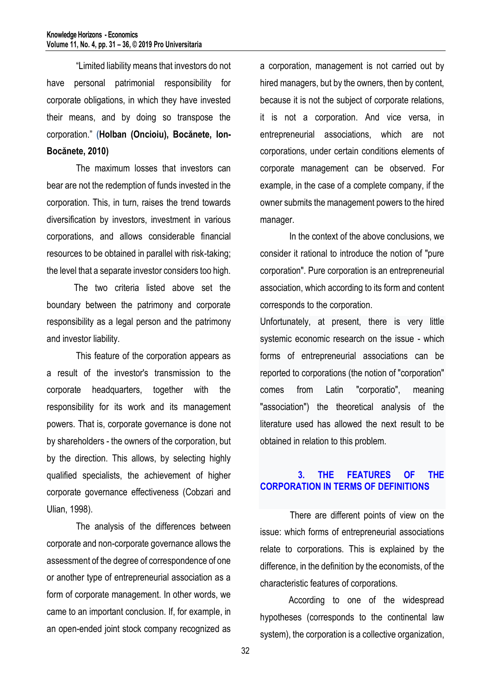"Limited liability means that investors do not have personal patrimonial responsibility for corporate obligations, in which they have invested their means, and by doing so transpose the corporation." **(Holban (Oncioiu), Bocănete, Ion-Bocănete, 2010)**

The maximum losses that investors can bear are not the redemption of funds invested in the corporation. This, in turn, raises the trend towards diversification by investors, investment in various corporations, and allows considerable financial resources to be obtained in parallel with risk-taking; the level that a separate investor considers too high.

 The two criteria listed above set the boundary between the patrimony and corporate responsibility as a legal person and the patrimony and investor liability.

This feature of the corporation appears as a result of the investor's transmission to the corporate headquarters, together with the responsibility for its work and its management powers. That is, corporate governance is done not by shareholders - the owners of the corporation, but by the direction. This allows, by selecting highly qualified specialists, the achievement of higher corporate governance effectiveness (Cobzari and Ulian, 1998).

The analysis of the differences between corporate and non-corporate governance allows the assessment of the degree of correspondence of one or another type of entrepreneurial association as a form of corporate management. In other words, we came to an important conclusion. If, for example, in an open-ended joint stock company recognized as

a corporation, management is not carried out by hired managers, but by the owners, then by content, because it is not the subject of corporate relations, it is not a corporation. And vice versa, in entrepreneurial associations, which are not corporations, under certain conditions elements of corporate management can be observed. For example, in the case of a complete company, if the owner submits the management powers to the hired manager.

In the context of the above conclusions, we consider it rational to introduce the notion of "pure corporation". Pure corporation is an entrepreneurial association, which according to its form and content corresponds to the corporation.

Unfortunately, at present, there is very little systemic economic research on the issue - which forms of entrepreneurial associations can be reported to corporations (the notion of "corporation" comes from Latin "corporatio", meaning "association") the theoretical analysis of the literature used has allowed the next result to be obtained in relation to this problem.

# **3. THE FEATURES OF THE CORPORATION IN TERMS OF DEFINITIONS**

There are different points of view on the issue: which forms of entrepreneurial associations relate to corporations. This is explained by the difference, in the definition by the economists, of the characteristic features of corporations.

According to one of the widespread hypotheses (corresponds to the continental law system), the corporation is a collective organization,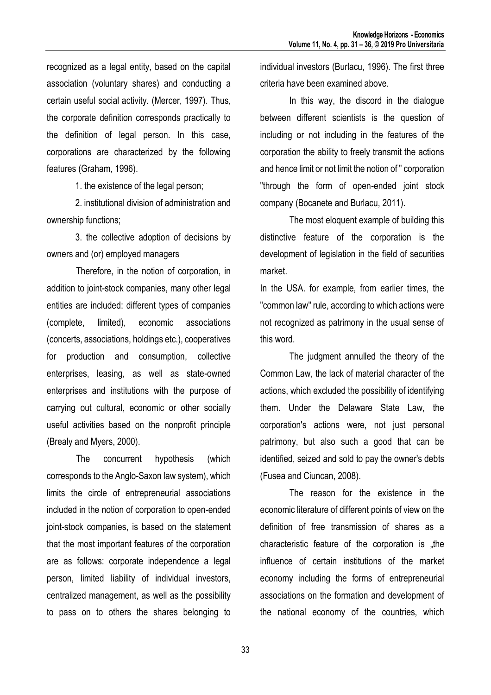recognized as a legal entity, based on the capital association (voluntary shares) and conducting a certain useful social activity. (Mercer, 1997). Thus, the corporate definition corresponds practically to the definition of legal person. In this case, corporations are characterized by the following features (Graham, 1996).

1. the existence of the legal person;

2. institutional division of administration and ownership functions;

3. the collective adoption of decisions by owners and (or) employed managers

Therefore, in the notion of corporation, in addition to joint-stock companies, many other legal entities are included: different types of companies (complete, limited), economic associations (concerts, associations, holdings etc.), cooperatives for production and consumption, collective enterprises, leasing, as well as state-owned enterprises and institutions with the purpose of carrying out cultural, economic or other socially useful activities based on the nonprofit principle (Brealy and Myers, 2000).

The concurrent hypothesis (which corresponds to the Anglo-Saxon law system), which limits the circle of entrepreneurial associations included in the notion of corporation to open-ended joint-stock companies, is based on the statement that the most important features of the corporation are as follows: corporate independence a legal person, limited liability of individual investors, centralized management, as well as the possibility to pass on to others the shares belonging to

individual investors (Burlacu, 1996). The first three criteria have been examined above.

In this way, the discord in the dialogue between different scientists is the question of including or not including in the features of the corporation the ability to freely transmit the actions and hence limit or not limit the notion of " corporation "through the form of open-ended joint stock company (Bocanete and Burlacu, 2011).

The most eloquent example of building this distinctive feature of the corporation is the development of legislation in the field of securities market.

In the USA. for example, from earlier times, the "common law" rule, according to which actions were not recognized as patrimony in the usual sense of this word.

The judgment annulled the theory of the Common Law, the lack of material character of the actions, which excluded the possibility of identifying them. Under the Delaware State Law, the corporation's actions were, not just personal patrimony, but also such a good that can be identified, seized and sold to pay the owner's debts (Fusea and Ciuncan, 2008).

The reason for the existence in the economic literature of different points of view on the definition of free transmission of shares as a characteristic feature of the corporation is the influence of certain institutions of the market economy including the forms of entrepreneurial associations on the formation and development of the national economy of the countries, which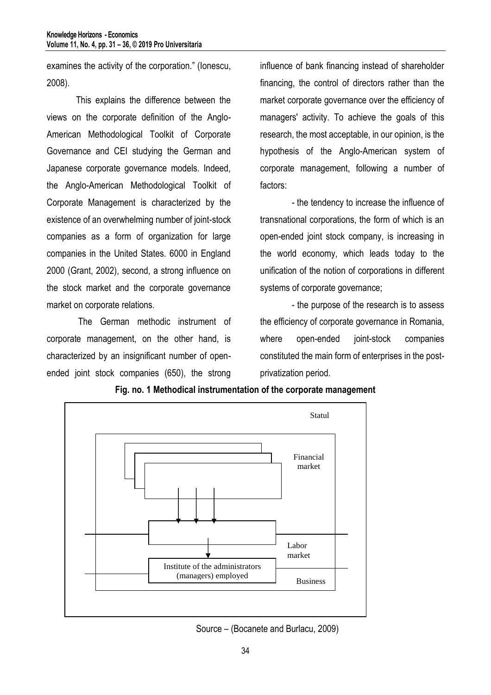examines the activity of the corporation." (Ionescu, 2008).

This explains the difference between the views on the corporate definition of the Anglo-American Methodological Toolkit of Corporate Governance and CEI studying the German and Japanese corporate governance models. Indeed, the Anglo-American Methodological Toolkit of Corporate Management is characterized by the existence of an overwhelming number of joint-stock companies as a form of organization for large companies in the United States. 6000 in England 2000 (Grant, 2002), second, a strong influence on the stock market and the corporate governance market on corporate relations.

The German methodic instrument of corporate management, on the other hand, is characterized by an insignificant number of openended joint stock companies (650), the strong

influence of bank financing instead of shareholder financing, the control of directors rather than the market corporate governance over the efficiency of managers' activity. To achieve the goals of this research, the most acceptable, in our opinion, is the hypothesis of the Anglo-American system of corporate management, following a number of factors:

 - the tendency to increase the influence of transnational corporations, the form of which is an open-ended joint stock company, is increasing in the world economy, which leads today to the unification of the notion of corporations in different systems of corporate governance;

 - the purpose of the research is to assess the efficiency of corporate governance in Romania, where open-ended joint-stock companies constituted the main form of enterprises in the postprivatization period.



**Fig. no. 1 Methodical instrumentation of the corporate management**

Source – (Bocanete and Burlacu, 2009)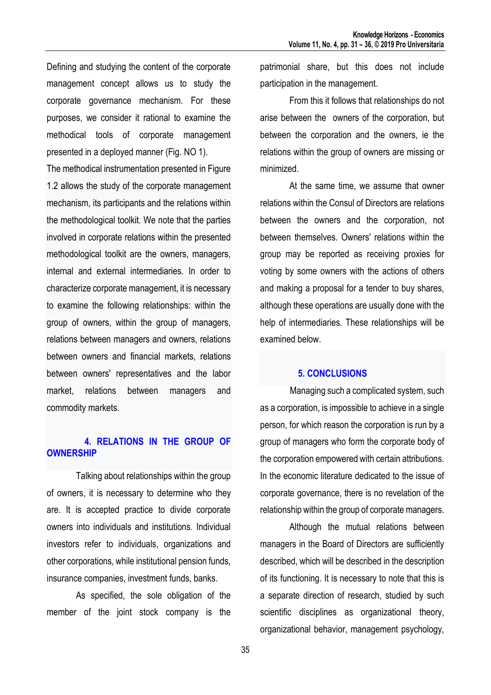Defining and studying the content of the corporate management concept allows us to study the corporate governance mechanism. For these purposes, we consider it rational to examine the methodical tools of corporate management presented in a deployed manner (Fig. NO 1).

The methodical instrumentation presented in Figure 1.2 allows the study of the corporate management mechanism, its participants and the relations within the methodological toolkit. We note that the parties involved in corporate relations within the presented methodological toolkit are the owners, managers, internal and external intermediaries. In order to characterize corporate management, it is necessary to examine the following relationships: within the group of owners, within the group of managers, relations between managers and owners, relations between owners and financial markets, relations between owners' representatives and the labor market, relations between managers and commodity markets.

## **4. RELATIONS IN THE GROUP OF OWNERSHIP**

Talking about relationships within the group of owners, it is necessary to determine who they are. It is accepted practice to divide corporate owners into individuals and institutions. Individual investors refer to individuals, organizations and other corporations, while institutional pension funds, insurance companies, investment funds, banks.

As specified, the sole obligation of the member of the joint stock company is the patrimonial share, but this does not include participation in the management.

From this it follows that relationships do not arise between the owners of the corporation, but between the corporation and the owners, ie the relations within the group of owners are missing or minimized.

At the same time, we assume that owner relations within the Consul of Directors are relations between the owners and the corporation, not between themselves. Owners' relations within the group may be reported as receiving proxies for voting by some owners with the actions of others and making a proposal for a tender to buy shares, although these operations are usually done with the help of intermediaries. These relationships will be examined below.

### **5. CONCLUSIONS**

Managing such a complicated system, such as a corporation, is impossible to achieve in a single person, for which reason the corporation is run by a group of managers who form the corporate body of the corporation empowered with certain attributions. In the economic literature dedicated to the issue of corporate governance, there is no revelation of the relationship within the group of corporate managers.

Although the mutual relations between managers in the Board of Directors are sufficiently described, which will be described in the description of its functioning. It is necessary to note that this is a separate direction of research, studied by such scientific disciplines as organizational theory, organizational behavior, management psychology,